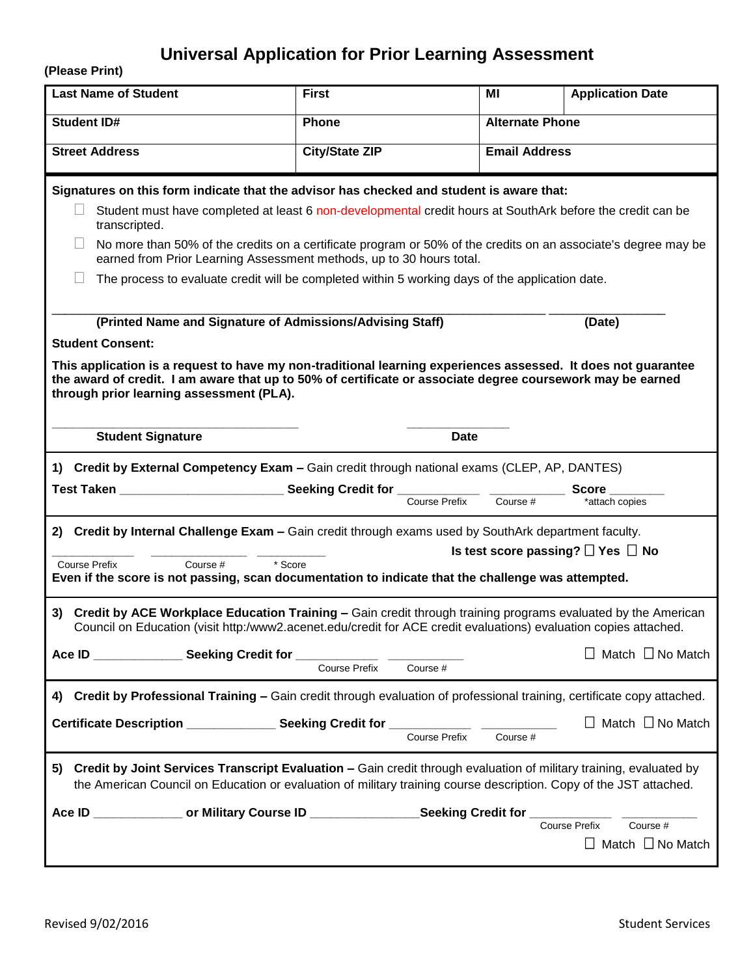## **Universal Application for Prior Learning Assessment**

**(Please Print)**

| <b>Last Name of Student</b>                                                                                                                                                                                                                                                                                                                                               | <b>First</b>                     | МI                     | <b>Application Date</b>                                   |  |  |
|---------------------------------------------------------------------------------------------------------------------------------------------------------------------------------------------------------------------------------------------------------------------------------------------------------------------------------------------------------------------------|----------------------------------|------------------------|-----------------------------------------------------------|--|--|
| <b>Student ID#</b>                                                                                                                                                                                                                                                                                                                                                        | Phone                            | <b>Alternate Phone</b> |                                                           |  |  |
| <b>Street Address</b>                                                                                                                                                                                                                                                                                                                                                     | <b>City/State ZIP</b>            | <b>Email Address</b>   |                                                           |  |  |
| Signatures on this form indicate that the advisor has checked and student is aware that:<br>Student must have completed at least 6 non-developmental credit hours at SouthArk before the credit can be<br>transcripted.                                                                                                                                                   |                                  |                        |                                                           |  |  |
| No more than 50% of the credits on a certificate program or 50% of the credits on an associate's degree may be<br>earned from Prior Learning Assessment methods, up to 30 hours total.<br>The process to evaluate credit will be completed within 5 working days of the application date.                                                                                 |                                  |                        |                                                           |  |  |
| (Printed Name and Signature of Admissions/Advising Staff)<br>(Date)<br><b>Student Consent:</b><br>This application is a request to have my non-traditional learning experiences assessed. It does not quarantee<br>the award of credit. I am aware that up to 50% of certificate or associate degree coursework may be earned<br>through prior learning assessment (PLA). |                                  |                        |                                                           |  |  |
| <b>Student Signature</b>                                                                                                                                                                                                                                                                                                                                                  | <b>Date</b>                      |                        |                                                           |  |  |
| 1) Credit by External Competency Exam - Gain credit through national exams (CLEP, AP, DANTES)                                                                                                                                                                                                                                                                             |                                  |                        |                                                           |  |  |
|                                                                                                                                                                                                                                                                                                                                                                           |                                  | Course #               | Score<br>*attach copies                                   |  |  |
| 2) Credit by Internal Challenge Exam - Gain credit through exams used by SouthArk department faculty.<br>Is test score passing? $\Box$ Yes $\Box$ No<br>Course #<br>* Score<br><b>Course Prefix</b><br>Even if the score is not passing, scan documentation to indicate that the challenge was attempted.                                                                 |                                  |                        |                                                           |  |  |
| Credit by ACE Workplace Education Training - Gain credit through training programs evaluated by the American<br>3)<br>Council on Education (visit http:/www2.acenet.edu/credit for ACE credit evaluations) evaluation copies attached.                                                                                                                                    |                                  |                        |                                                           |  |  |
| Ace ID _______________ Seeking Credit for _                                                                                                                                                                                                                                                                                                                               | <b>Course Prefix</b><br>Course # |                        | Match $\Box$ No Match                                     |  |  |
| Credit by Professional Training - Gain credit through evaluation of professional training, certificate copy attached.<br>4)                                                                                                                                                                                                                                               |                                  |                        |                                                           |  |  |
| Certificate Description ________________ Seeking Credit for _____________ _____________                                                                                                                                                                                                                                                                                   | Course Prefix                    | Course #               | $\Box$ Match $\Box$ No Match                              |  |  |
| Credit by Joint Services Transcript Evaluation - Gain credit through evaluation of military training, evaluated by<br>5)<br>the American Council on Education or evaluation of military training course description. Copy of the JST attached.                                                                                                                            |                                  |                        |                                                           |  |  |
| Ace ID ________________ or Military Course ID __________________Seeking Credit for ___                                                                                                                                                                                                                                                                                    |                                  |                        | Course Prefix<br>Course #<br>$\Box$ Match $\Box$ No Match |  |  |